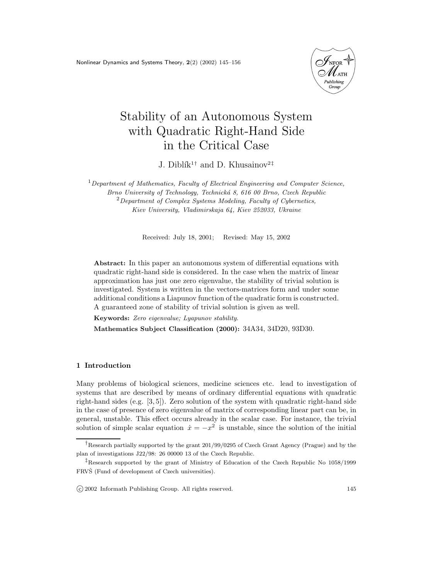Nonlinear Dynamics and Systems Theory, 2(2) (2002) 145–156



# Stability of an Autonomous System with Quadratic Right-Hand Side in the Critical Case

J. Diblík<sup>1†</sup> and D. Khusainov<sup>2‡</sup>

 $1$ Department of Mathematics, Faculty of Electrical Engineering and Computer Science, Brno University of Technology, Technická 8, 616 00 Brno, Czech Republic  $2$ Department of Complex Systems Modeling, Faculty of Cybernetics, Kiev University, Vladimirskaja 64, Kiev 252033, Ukraine

Received: July 18, 2001; Revised: May 15, 2002

Abstract: In this paper an autonomous system of differential equations with quadratic right-hand side is considered. In the case when the matrix of linear approximation has just one zero eigenvalue, the stability of trivial solution is investigated. System is written in the vectors-matrices form and under some additional conditions a Liapunov function of the quadratic form is constructed. A guaranteed zone of stability of trivial solution is given as well.

Keywords: Zero eigenvalue; Lyapunov stability.

Mathematics Subject Classification (2000): 34A34, 34D20, 93D30.

### 1 Introduction

Many problems of biological sciences, medicine sciences etc. lead to investigation of systems that are described by means of ordinary differential equations with quadratic right-hand sides (e.g. [3, 5]). Zero solution of the system with quadratic right-hand side in the case of presence of zero eigenvalue of matrix of corresponding linear part can be, in general, unstable. This effect occurs already in the scalar case. For instance, the trivial solution of simple scalar equation  $\dot{x} = -x^2$  is unstable, since the solution of the initial

c 2002 Informath Publishing Group. All rights reserved. 145

<sup>&</sup>lt;sup>†</sup>Research partially supported by the grant 201/99/0295 of Czech Grant Agency (Prague) and by the plan of investigations J22/98: 26 00000 13 of the Czech Republic.

<sup>‡</sup>Research supported by the grant of Ministry of Education of the Czech Republic No 1058/1999 FRVS (Fund of development of Czech universities).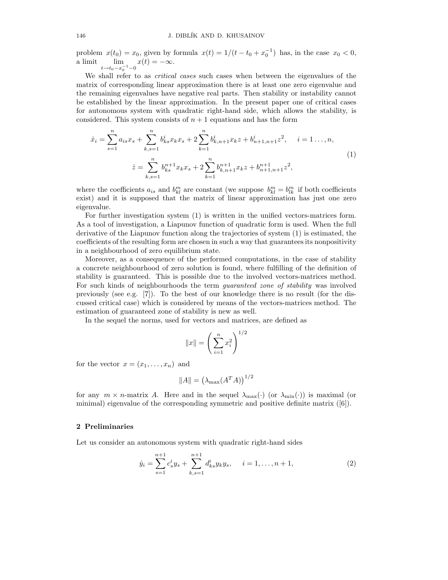problem  $x(t_0) = x_0$ , given by formula  $x(t) = 1/(t - t_0 + x_0^{-1})$  has, in the case  $x_0 < 0$ , a limit  $\lim_{t \to t_0 - x_0^{-1} - 0}$  $x(t) = -\infty.$ 

We shall refer to as *critical cases* such cases when between the eigenvalues of the matrix of corresponding linear approximation there is at least one zero eigenvalue and the remaining eigenvalues have negative real parts. Then stability or instability cannot be established by the linear approximation. In the present paper one of critical cases for autonomous system with quadratic right-hand side, which allows the stability, is considered. This system consists of  $n + 1$  equations and has the form

$$
\dot{x}_i = \sum_{s=1}^n a_{is} x_s + \sum_{k,s=1}^n b_{ks}^i x_k x_s + 2 \sum_{k=1}^n b_{k,n+1}^i x_k z + b_{n+1,n+1}^i z^2, \quad i = 1 \dots, n,
$$
  

$$
\dot{z} = \sum_{k,s=1}^n b_{ks}^{n+1} x_k x_s + 2 \sum_{k=1}^n b_{k,n+1}^{n+1} x_k z + b_{n+1,n+1}^{n+1} z^2,
$$
 (1)

where the coefficients  $a_{is}$  and  $b_{kl}^m$  are constant (we suppose  $b_{kl}^m = b_{lk}^m$  if both coefficients exist) and it is supposed that the matrix of linear approximation has just one zero eigenvalue.

For further investigation system (1) is written in the unified vectors-matrices form. As a tool of investigation, a Liapunov function of quadratic form is used. When the full derivative of the Liapunov function along the trajectories of system (1) is estimated, the coefficients of the resulting form are chosen in such a way that guarantees its nonpositivity in a neighbourhood of zero equilibrium state.

Moreover, as a consequence of the performed computations, in the case of stability a concrete neighbourhood of zero solution is found, where fulfilling of the definition of stability is guaranteed. This is possible due to the involved vectors-matrices method. For such kinds of neighbourhoods the term *guaranteed zone of stability* was involved previously (see e.g. [7]). To the best of our knowledge there is no result (for the discussed critical case) which is considered by means of the vectors-matrices method. The estimation of guaranteed zone of stability is new as well.

In the sequel the norms, used for vectors and matrices, are defined as

$$
||x|| = \left(\sum_{i=1}^{n} x_i^2\right)^{1/2}
$$

for the vector  $x = (x_1, \ldots, x_n)$  and

$$
||A|| = \left(\lambda_{\max}(A^T A)\right)^{1/2}
$$

for any  $m \times n$ -matrix A. Here and in the sequel  $\lambda_{\max}(\cdot)$  (or  $\lambda_{\min}(\cdot)$ ) is maximal (or minimal) eigenvalue of the corresponding symmetric and positive definite matrix ([6]).

#### 2 Preliminaries

Let us consider an autonomous system with quadratic right-hand sides

$$
\dot{y}_i = \sum_{s=1}^{n+1} c_s^i y_s + \sum_{k,s=1}^{n+1} d_{ks}^i y_k y_s, \quad i = 1, \dots, n+1,
$$
\n(2)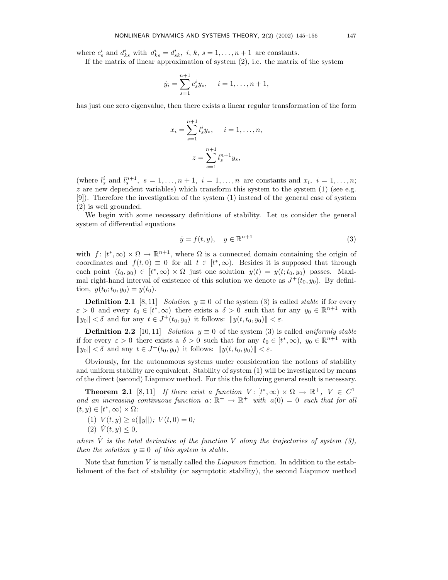where  $c_s^i$  and  $d_{ks}^i$  with  $d_{ks}^i = d_{sk}^i$ , i, k,  $s = 1, ..., n+1$  are constants.

If the matrix of linear approximation of system  $(2)$ , i.e. the matrix of the system

$$
\dot{y}_i = \sum_{s=1}^{n+1} c_s^i y_s, \quad i = 1, \dots, n+1,
$$

has just one zero eigenvalue, then there exists a linear regular transformation of the form

$$
x_i = \sum_{s=1}^{n+1} l_s^i y_s, \quad i = 1, \dots, n,
$$

$$
z = \sum_{s=1}^{n+1} l_s^{n+1} y_s,
$$

(where  $l_s^i$  and  $l_s^{n+1}$ ,  $s = 1, \ldots, n+1$ ,  $i = 1, \ldots, n$  are constants and  $x_i$ ,  $i = 1, \ldots, n$ ;  $z$  are new dependent variables) which transform this system to the system  $(1)$  (see e.g. [9]). Therefore the investigation of the system (1) instead of the general case of system (2) is well grounded.

We begin with some necessary definitions of stability. Let us consider the general system of differential equations

$$
\dot{y} = f(t, y), \quad y \in \mathbb{R}^{n+1} \tag{3}
$$

with  $f: [t^*, \infty) \times \Omega \to \mathbb{R}^{n+1}$ , where  $\Omega$  is a connected domain containing the origin of coordinates and  $f(t,0) \equiv 0$  for all  $t \in [t^*,\infty)$ . Besides it is supposed that through each point  $(t_0, y_0) \in [t^*, \infty) \times \Omega$  just one solution  $y(t) = y(t; t_0, y_0)$  passes. Maximal right-hand interval of existence of this solution we denote as  $J^+(t_0, y_0)$ . By definition,  $y(t_0; t_0, y_0) = y(t_0)$ .

**Definition 2.1** [8, 11] Solution  $y \equiv 0$  of the system (3) is called *stable* if for every  $\varepsilon > 0$  and every  $t_0 \in [t^*, \infty)$  there exists a  $\delta > 0$  such that for any  $y_0 \in \mathbb{R}^{n+1}$  with  $||y_0|| < \delta$  and for any  $t \in J^+(t_0, y_0)$  it follows:  $||y(t, t_0, y_0)|| < \varepsilon$ .

**Definition 2.2** [10,11] Solution  $y \equiv 0$  of the system (3) is called uniformly stable if for every  $\varepsilon > 0$  there exists a  $\delta > 0$  such that for any  $t_0 \in [t^*, \infty)$ ,  $y_0 \in \mathbb{R}^{n+1}$  with  $||y_0|| < \delta$  and any  $t \in J^+(t_0, y_0)$  it follows:  $||y(t, t_0, y_0)|| < \varepsilon$ .

Obviously, for the autonomous systems under consideration the notions of stability and uniform stability are equivalent. Stability of system (1) will be investigated by means of the direct (second) Liapunov method. For this the following general result is necessary.

**Theorem 2.1** [8,11] If there exist a function  $V: [t^*, \infty) \times \Omega \to \mathbb{R}^+, V \in C^1$ and an increasing continuous function  $a: \mathbb{R}^+ \to \mathbb{R}^+$  with  $a(0) = 0$  such that for all  $(t, y) \in [t^*, \infty) \times \Omega$ :

(1) 
$$
V(t, y) \ge a(||y||)
$$
;  $V(t, 0) = 0$ ;

$$
(2) \dot{V}(t, y) \leq 0,
$$

where  $\dot{V}$  is the total derivative of the function V along the trajectories of system (3), then the solution  $y \equiv 0$  of this system is stable.

Note that function  $V$  is usually called the *Liapunov* function. In addition to the establishment of the fact of stability (or asymptotic stability), the second Liapunov method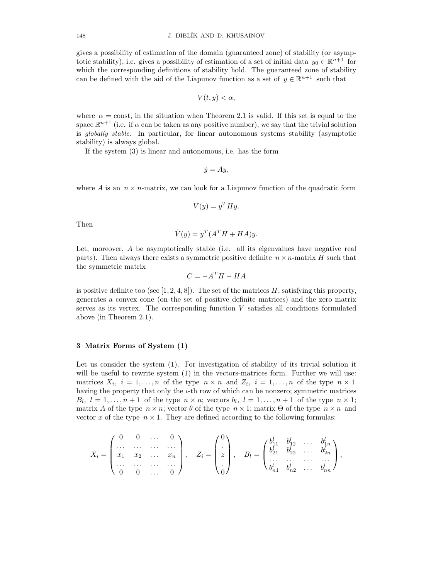gives a possibility of estimation of the domain (guaranteed zone) of stability (or asymptotic stability), i.e. gives a possibility of estimation of a set of initial data  $y_0 \in \mathbb{R}^{n+1}$  for which the corresponding definitions of stability hold. The guaranteed zone of stability can be defined with the aid of the Liapunov function as a set of  $y \in \mathbb{R}^{n+1}$  such that

$$
V(t, y) < \alpha
$$

where  $\alpha = \text{const}$ , in the situation when Theorem 2.1 is valid. If this set is equal to the space  $\mathbb{R}^{n+1}$  (i.e. if  $\alpha$  can be taken as any positive number), we say that the trivial solution is globally stable. In particular, for linear autonomous systems stability (asymptotic stability) is always global.

If the system (3) is linear and autonomous, i.e. has the form

$$
\dot{y} = Ay,
$$

where A is an  $n \times n$ -matrix, we can look for a Liapunov function of the quadratic form

$$
V(y) = y^T H y.
$$

Then

$$
\dot{V}(y) = y^T (A^T H + H A) y.
$$

Let, moreover, A be asymptotically stable (i.e. all its eigenvalues have negative real parts). Then always there exists a symmetric positive definite  $n \times n$ -matrix H such that the symmetric matrix

$$
C = -A^T H - H A
$$

is positive definite too (see [1, 2, 4, 8]). The set of the matrices  $H$ , satisfying this property, generates a convex cone (on the set of positive definite matrices) and the zero matrix serves as its vertex. The corresponding function  $V$  satisfies all conditions formulated above (in Theorem 2.1).

## 3 Matrix Forms of System (1)

Let us consider the system (1). For investigation of stability of its trivial solution it will be useful to rewrite system  $(1)$  in the vectors-matrices form. Further we will use: matrices  $X_i$ ,  $i = 1, ..., n$  of the type  $n \times n$  and  $Z_i$ ,  $i = 1, ..., n$  of the type  $n \times 1$ having the property that only the *i*-th row of which can be nonzero; symmetric matrices  $B_l, l = 1, \ldots, n+1$  of the type  $n \times n$ ; vectors  $b_l, l = 1, \ldots, n+1$  of the type  $n \times 1$ ; matrix A of the type  $n \times n$ ; vector  $\theta$  of the type  $n \times 1$ ; matrix  $\Theta$  of the type  $n \times n$  and vector x of the type  $n \times 1$ . They are defined according to the following formulas:

$$
X_i = \begin{pmatrix} 0 & 0 & \dots & 0 \\ \dots & \dots & \dots & \dots \\ x_1 & x_2 & \dots & x_n \\ \dots & \dots & \dots & \dots \\ 0 & 0 & \dots & 0 \end{pmatrix}, \quad Z_i = \begin{pmatrix} 0 \\ \vdots \\ z \\ 0 \end{pmatrix}, \quad B_l = \begin{pmatrix} b_{11}^l & b_{12}^l & \dots & b_{1n}^l \\ b_{21}^l & b_{22}^l & \dots & b_{2n}^l \\ \dots & \dots & \dots & \dots \\ b_{n1}^l & b_{n2}^l & \dots & b_{nn}^l \end{pmatrix},
$$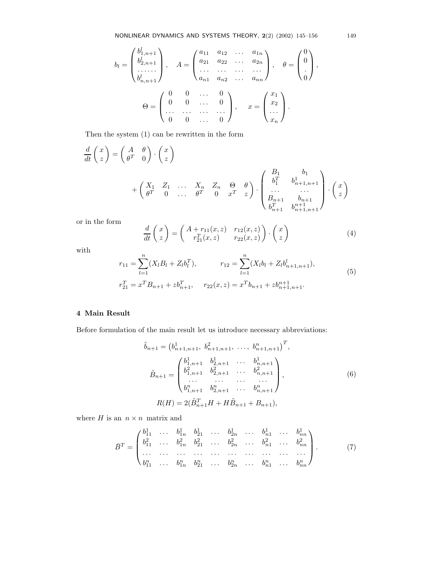$$
b_{l} = \begin{pmatrix} b_{1,n+1}^{l} \\ b_{2,n+1}^{l} \\ \vdots \\ b_{n,n+1}^{l} \end{pmatrix}, \quad A = \begin{pmatrix} a_{11} & a_{12} & \dots & a_{1n} \\ a_{21} & a_{22} & \dots & a_{2n} \\ \vdots & \vdots & \ddots & \vdots \\ a_{n1} & a_{n2} & \dots & a_{nn} \end{pmatrix}, \quad \theta = \begin{pmatrix} 0 \\ 0 \\ \vdots \\ 0 \end{pmatrix},
$$

$$
\Theta = \begin{pmatrix} 0 & 0 & \dots & 0 \\ 0 & 0 & \dots & 0 \\ \vdots & \vdots & \ddots & \vdots \\ 0 & 0 & \dots & 0 \end{pmatrix}, \quad x = \begin{pmatrix} x_{1} \\ x_{2} \\ \vdots \\ x_{n} \end{pmatrix}.
$$

Then the system (1) can be rewritten in the form

$$
\frac{d}{dt}\begin{pmatrix} x \\ z \end{pmatrix} = \begin{pmatrix} A & \theta \\ \theta^T & 0 \end{pmatrix} \cdot \begin{pmatrix} x \\ z \end{pmatrix}
$$
\n
$$
+ \begin{pmatrix} X_1 & Z_1 & \dots & X_n & Z_n & \Theta & \theta \\ \theta^T & 0 & \dots & \theta^T & 0 & x^T & z \end{pmatrix} \cdot \begin{pmatrix} B_1 & b_1 \\ b_1^T & b_{n+1,n+1}^1 \\ \dots & \dots \\ B_{n+1} & b_{n+1} \\ b_{n+1}^T & b_{n+1,n+1}^T \end{pmatrix} \cdot \begin{pmatrix} x \\ z \end{pmatrix}
$$

or in the form

$$
\frac{d}{dt}\begin{pmatrix} x \\ z \end{pmatrix} = \begin{pmatrix} A + r_{11}(x, z) & r_{12}(x, z) \\ r_{21}^T(x, z) & r_{22}(x, z) \end{pmatrix} \cdot \begin{pmatrix} x \\ z \end{pmatrix}
$$
\n(4)

with

$$
r_{11} = \sum_{l=1}^{n} (X_l B_l + Z_l b_l^T), \qquad r_{12} = \sum_{l=1}^{n} (X_l b_l + Z_l b_{n+1,n+1}^l),
$$
  
\n
$$
r_{21}^T = x^T B_{n+1} + z b_{n+1}^T, \qquad r_{22}(x, z) = x^T b_{n+1} + z b_{n+1,n+1}^{n+1}.
$$
\n(5)

## 4 Main Result

Before formulation of the main result let us introduce necessary abbreviations:

$$
\tilde{b}_{n+1} = \begin{pmatrix} b_{n+1,n+1}^1, & b_{n+1,n+1}^2, & \dots, & b_{n+1,n+1}^n \end{pmatrix}^T,
$$
\n
$$
\tilde{B}_{n+1} = \begin{pmatrix} b_{1,n+1}^1 & b_{2,n+1}^1 & \dots & b_{n,n+1}^1 \\ b_{1,n+1}^2 & b_{2,n+1}^2 & \dots & b_{n,n+1}^2 \\ \dots & \dots & \dots & \dots \\ b_{1,n+1}^n & b_{2,n+1}^n & \dots & b_{n,n+1}^n \end{pmatrix},
$$
\n
$$
R(H) = 2(\tilde{B}_{n+1}^T H + H \tilde{B}_{n+1} + B_{n+1}),
$$
\n(6)

where  $H$  is an  $\,n\times n\,$  matrix and

$$
\bar{B}^T = \begin{pmatrix} b_{11}^1 & \cdots & b_{1n}^1 & b_{21}^1 & \cdots & b_{2n}^1 & \cdots & b_{n1}^1 & \cdots & b_{nn}^1 \\ b_{11}^2 & \cdots & b_{1n}^2 & b_{21}^2 & \cdots & b_{2n}^2 & \cdots & b_{n1}^2 & \cdots & b_{nn}^2 \\ \vdots & \vdots & \vdots & \vdots & \vdots & \vdots & \vdots & \vdots & \vdots \\ b_{11}^n & \cdots & b_{1n}^n & b_{21}^n & \cdots & b_{2n}^n & \cdots & b_{n1}^n & \cdots & b_{nn}^n \end{pmatrix} . \tag{7}
$$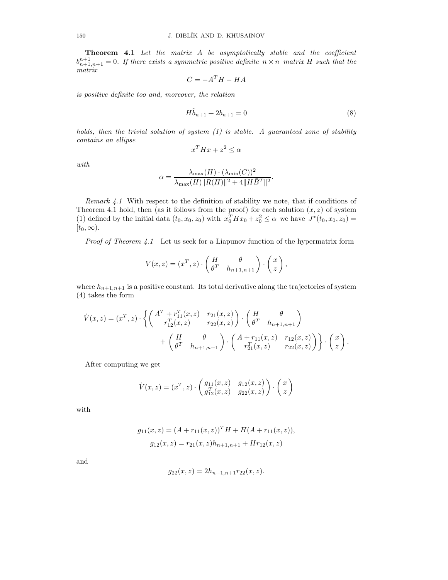Theorem 4.1 Let the matrix A be asymptotically stable and the coefficient  $b_{n+1,n+1}^{n+1} = 0$ . If there exists a symmetric positive definite  $n \times n$  matrix H such that the matrix

$$
C = -A^T H - H A
$$

is positive definite too and, moreover, the relation

$$
H\tilde{b}_{n+1} + 2b_{n+1} = 0\tag{8}
$$

holds, then the trivial solution of system  $(1)$  is stable. A guaranteed zone of stability contains an ellipse

$$
x^T H x + z^2 \le \alpha
$$

with

$$
\alpha = \frac{\lambda_{\max}(H) \cdot (\lambda_{\min}(C))^2}{\lambda_{\max}(H) ||R(H)||^2 + 4||H\overline{B}^T||^2}.
$$

Remark  $4.1$  With respect to the definition of stability we note, that if conditions of Theorem 4.1 hold, then (as it follows from the proof) for each solution  $(x, z)$  of system (1) defined by the initial data  $(t_0, x_0, z_0)$  with  $x_0^T H x_0 + z_0^2 \leq \alpha$  we have  $J^*(t_0, x_0, z_0) =$  $[t_0, \infty)$ .

Proof of Theorem 4.1 Let us seek for a Liapunov function of the hypermatrix form

$$
V(x, z) = (xT, z) \cdot \begin{pmatrix} H & \theta \\ \thetaT & h_{n+1, n+1} \end{pmatrix} \cdot \begin{pmatrix} x \\ z \end{pmatrix},
$$

where  $h_{n+1,n+1}$  is a positive constant. Its total derivative along the trajectories of system (4) takes the form

$$
\dot{V}(x,z) = (x^T, z) \cdot \left\{ \begin{pmatrix} A^T + r_{11}^T(x,z) & r_{21}(x,z) \\ r_{12}^T(x,z) & r_{22}(x,z) \end{pmatrix} \cdot \begin{pmatrix} H & \theta \\ \theta^T & h_{n+1,n+1} \end{pmatrix} + \begin{pmatrix} H & \theta \\ \theta^T & h_{n+1,n+1} \end{pmatrix} \cdot \begin{pmatrix} A + r_{11}(x,z) & r_{12}(x,z) \\ r_{21}^T(x,z) & r_{22}(x,z) \end{pmatrix} \right\} \cdot \begin{pmatrix} x \\ z \end{pmatrix}.
$$

After computing we get

$$
\dot{V}(x, z) = (x^T, z) \cdot \begin{pmatrix} g_{11}(x, z) & g_{12}(x, z) \\ g_{12}^T(x, z) & g_{22}(x, z) \end{pmatrix} \cdot \begin{pmatrix} x \\ z \end{pmatrix}
$$

with

$$
g_{11}(x, z) = (A + r_{11}(x, z))^T H + H(A + r_{11}(x, z)),
$$
  
\n
$$
g_{12}(x, z) = r_{21}(x, z)h_{n+1, n+1} + H r_{12}(x, z)
$$

and

$$
g_{22}(x, z) = 2h_{n+1, n+1}r_{22}(x, z).
$$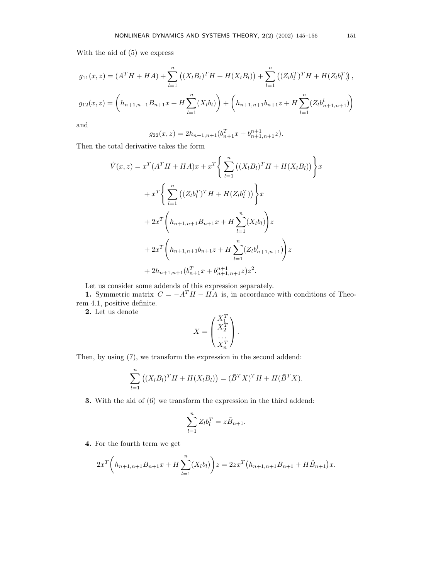With the aid of (5) we express

$$
g_{11}(x, z) = (AT H + HA) + \sum_{l=1}^{n} ((X_l B_l)T H + H(X_l B_l)) + \sum_{l=1}^{n} ((Z_l b_lT)T H + H(Z_l b_lT)),
$$
  

$$
g_{12}(x, z) = \left( h_{n+1, n+1} B_{n+1} x + H \sum_{l=1}^{n} (X_l b_l) \right) + \left( h_{n+1, n+1} b_{n+1} z + H \sum_{l=1}^{n} (Z_l b_{n+1, n+1}^l) \right)
$$

and

$$
g_{22}(x,z) = 2h_{n+1,n+1}(b_{n+1}^T x + b_{n+1,n+1}^{n+1} z).
$$

Then the total derivative takes the form

$$
\dot{V}(x, z) = x^{T} (A^{T} H + H A)x + x^{T} \Biggl\{ \sum_{l=1}^{n} ((X_{l} B_{l})^{T} H + H(X_{l} B_{l})) \Biggr\} x \n+ x^{T} \Biggl\{ \sum_{l=1}^{n} ((Z_{l} b_{l}^{T})^{T} H + H(Z_{l} b_{l}^{T})) \Biggr\} x \n+ 2x^{T} \Biggl(h_{n+1, n+1} B_{n+1} x + H \sum_{l=1}^{n} (X_{l} b_{l}) \Biggr) z \n+ 2x^{T} \Biggl(h_{n+1, n+1} b_{n+1} z + H \sum_{l=1}^{n} (Z_{l} b_{n+1, n+1}^{l}) \Biggr) z \n+ 2h_{n+1, n+1} (b_{n+1}^{T} x + b_{n+1, n+1}^{n+1} z) z^{2}.
$$

Let us consider some addends of this expression separately.

1. Symmetric matrix  $C = -A^T H - H A$  is, in accordance with conditions of Theorem 4.1, positive definite.

2. Let us denote

$$
X = \begin{pmatrix} X_1^T \\ X_2^T \\ \cdots \\ X_n^T \end{pmatrix}.
$$

Then, by using (7), we transform the expression in the second addend:

$$
\sum_{l=1}^{n} ((X_l B_l)^T H + H(X_l B_l)) = (\bar{B}^T X)^T H + H(\bar{B}^T X).
$$

3. With the aid of (6) we transform the expression in the third addend:

$$
\sum_{l=1}^{n} Z_{l} b_{l}^{T} = z \tilde{B}_{n+1}.
$$

4. For the fourth term we get

$$
2x^{T}\left(h_{n+1,n+1}B_{n+1}x + H\sum_{l=1}^{n}(X_{l}b_{l})\right)z = 2zx^{T}\left(h_{n+1,n+1}B_{n+1} + H\tilde{B}_{n+1}\right)x.
$$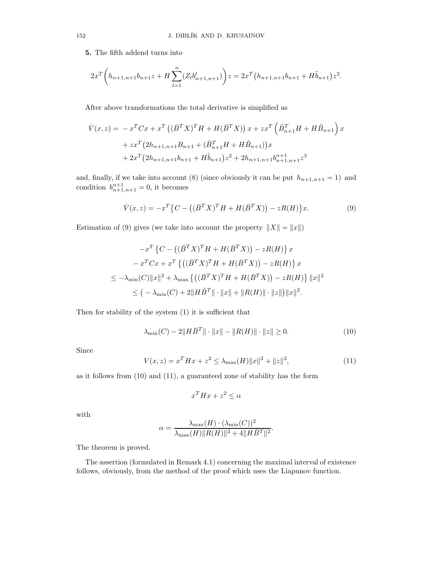5. The fifth addend turns into

$$
2x^{T}\left(h_{n+1,n+1}b_{n+1}z + H\sum_{l=1}^{n} (Z_{l}b_{n+1,n+1}^{l})\right)z = 2x^{T}\left(h_{n+1,n+1}b_{n+1} + H\tilde{b}_{n+1}\right)z^{2}.
$$

After above transformations the total derivative is simplified as

$$
\dot{V}(x,z) = -x^{T}Cx + x^{T} \left( (\bar{B}^{T}X)^{T}H + H(\bar{B}^{T}X) \right)x + zx^{T} \left( \tilde{B}_{n+1}^{T}H + H\tilde{B}_{n+1} \right)x
$$

$$
+ zx^{T} \left( 2h_{n+1,n+1}B_{n+1} + (\tilde{B}_{n+1}^{T}H + H\tilde{B}_{n+1}) \right)x
$$

$$
+ 2x^{T} \left( 2h_{n+1,n+1}b_{n+1} + H\tilde{b}_{n+1} \right)z^{2} + 2h_{n+1,n+1}b_{n+1,n+1}^{n+1}z^{3}
$$

and, finally, if we take into account (8) (since obviously it can be put  $h_{n+1,n+1} = 1$ ) and condition  $b_{n+1,n+1}^{n+1} = 0$ , it becomes

$$
\dot{V}(x,z) = -x^T \{ C - ((\bar{B}^T X)^T H + H(\bar{B}^T X)) - zR(H) \} x.
$$
\n(9)

Estimation of (9) gives (we take into account the property  $||X|| = ||x||$ )

$$
-x^T \left\{ C - \left( (\bar{B}^T X)^T H + H(\bar{B}^T X) \right) - zR(H) \right\} x
$$
  

$$
-x^T C x + x^T \left\{ \left( (\bar{B}^T X)^T H + H(\bar{B}^T X) \right) - zR(H) \right\} x
$$
  

$$
\leq -\lambda_{\min}(C) \|x\|^2 + \lambda_{\max} \left\{ \left( (\bar{B}^T X)^T H + H(\bar{B}^T X) \right) - zR(H) \right\} \|x\|^2
$$
  

$$
\leq \left( -\lambda_{\min}(C) + 2\|H\tilde{B}^T\| \cdot \|x\| + \|R(H)\| \cdot \|z\| \right) \|x\|^2.
$$

Then for stability of the system (1) it is sufficient that

$$
\lambda_{\min}(C) - 2\|H\bar{B}^{T}\|\cdot\|x\| - \|R(H)\|\cdot\|z\| \ge 0.
$$
\n(10)

Since

$$
V(x, z) = xT H x + z2 \le \lambda_{\max}(H) \|x\|^{2} + \|z\|^{2},
$$
\n(11)

as it follows from (10) and (11), a guaranteed zone of stability has the form

$$
x^T H x + z^2 \le \alpha
$$

with

$$
\alpha = \frac{\lambda_{\max}(H) \cdot (\lambda_{\min}(C))^2}{\lambda_{\max}(H) ||R(H)||^2 + 4||H\bar{B}^T||^2}.
$$

The theorem is proved.

The assertion (formulated in Remark 4.1) concerning the maximal interval of existence follows, obviously, from the method of the proof which uses the Liapunov function.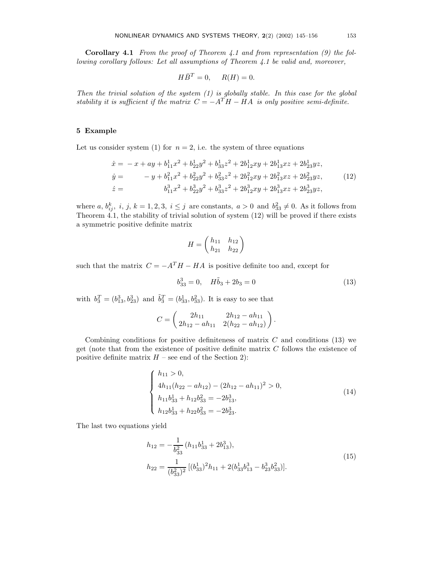**Corollary 4.1** From the proof of Theorem 4.1 and from representation  $(9)$  the following corollary follows: Let all assumptions of Theorem 4.1 be valid and, moreover,

$$
H\bar{B}^T = 0, \quad R(H) = 0.
$$

Then the trivial solution of the system  $(1)$  is globally stable. In this case for the global stability it is sufficient if the matrix  $C = -A^T H - H A$  is only positive semi-definite.

## 5 Example

Let us consider system (1) for  $n = 2$ , i.e. the system of three equations

$$
\begin{aligned}\n\dot{x} &= -x + ay + b_{11}^1 x^2 + b_{22}^1 y^2 + b_{33}^1 z^2 + 2b_{12}^1 xy + 2b_{13}^1 xz + 2b_{23}^1 yz, \\
\dot{y} &= -y + b_{11}^2 x^2 + b_{22}^2 y^2 + b_{33}^2 z^2 + 2b_{12}^2 xy + 2b_{13}^2 xz + 2b_{23}^2 yz, \\
\dot{z} &= b_{11}^3 x^2 + b_{22}^3 y^2 + b_{33}^3 z^2 + 2b_{12}^3 xy + 2b_{13}^3 xz + 2b_{23}^3 yz,\n\end{aligned}\n\tag{12}
$$

where a,  $b_{ij}^k$ , i, j,  $k = 1, 2, 3$ ,  $i \leq j$  are constants,  $a > 0$  and  $b_{33}^2 \neq 0$ . As it follows from Theorem 4.1, the stability of trivial solution of system (12) will be proved if there exists a symmetric positive definite matrix

$$
H = \begin{pmatrix} h_{11} & h_{12} \\ h_{21} & h_{22} \end{pmatrix}
$$

such that the matrix  $C = -A^T H - H A$  is positive definite too and, except for

$$
b_{33}^3 = 0, \quad H\tilde{b}_3 + 2b_3 = 0 \tag{13}
$$

with  $b_3^T = (b_{13}^3, b_{23}^3)$  and  $\tilde{b}_3^T = (b_{33}^1, b_{33}^2)$ . It is easy to see that

$$
C = \begin{pmatrix} 2h_{11} & 2h_{12} - ah_{11} \ 2h_{12} - ah_{11} & 2(h_{22} - ah_{12}) \end{pmatrix}.
$$

Combining conditions for positive definiteness of matrix  $C$  and conditions (13) we get (note that from the existence of positive definite matrix C follows the existence of positive definite matrix  $H$  – see end of the Section 2):

$$
\begin{cases}\nh_{11} > 0, \\
4h_{11}(h_{22} - ah_{12}) - (2h_{12} - ah_{11})^2 > 0, \\
h_{11}b_{33}^1 + h_{12}b_{33}^2 = -2b_{13}^3, \\
h_{12}b_{33}^1 + h_{22}b_{33}^2 = -2b_{23}^3.\n\end{cases} \tag{14}
$$

The last two equations yield

$$
h_{12} = -\frac{1}{b_{33}^2} (h_{11}b_{33}^1 + 2b_{13}^3),
$$
  
\n
$$
h_{22} = \frac{1}{(b_{33}^2)^2} [(b_{33}^1)^2 h_{11} + 2(b_{33}^1 b_{13}^3 - b_{23}^3 b_{33}^2)].
$$
\n(15)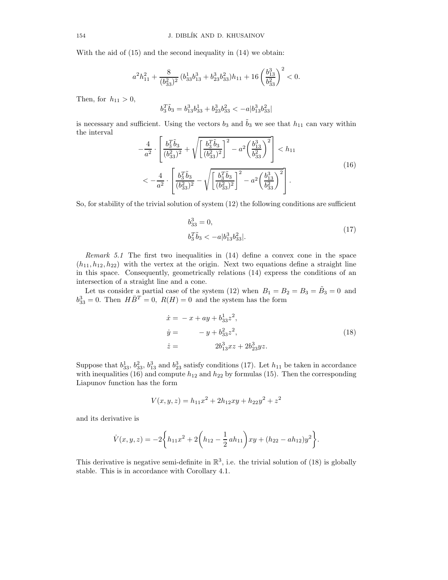With the aid of (15) and the second inequality in (14) we obtain:

$$
a^2h^2_{11}+\frac{8}{(b_{33}^2)^2}\,(b_{33}^1b_{13}^3+b_{23}^3b_{33}^2)h_{11}+16\left(\frac{b_{13}^3}{b_{33}^2}\right)^2<0.
$$

Then, for  $h_{11} > 0$ ,

$$
b_3^T\tilde{b}_3=b_{13}^3b_{33}^1+b_{23}^3b_{33}^2<-a|b_{13}^3b_{33}^2|
$$

is necessary and sufficient. Using the vectors  $b_3$  and  $\tilde{b}_3$  we see that  $h_{11}$  can vary within the interval

$$
-\frac{4}{a^2} \cdot \left[ \frac{b_3^T \tilde{b}_3}{(b_{33}^2)^2} + \sqrt{\left[ \frac{b_3^T \tilde{b}_3}{(b_{33}^2)^2} \right]^2 - a^2 \left( \frac{b_{13}^3}{b_{33}^2} \right)^2} \right] < h_{11}
$$
  

$$
< -\frac{4}{a^2} \cdot \left[ \frac{b_3^T \tilde{b}_3}{(b_{33}^2)^2} - \sqrt{\left[ \frac{b_3^T \tilde{b}_3}{(b_{33}^2)^2} \right]^2 - a^2 \left( \frac{b_{13}^3}{b_{33}^2} \right)^2} \right].
$$
 (16)

So, for stability of the trivial solution of system (12) the following conditions are sufficient

$$
b_{33}^3 = 0,
$$
  
\n
$$
b_3^T \tilde{b}_3 < -a|b_{13}^3 b_{33}^2|.
$$
\n(17)

Remark 5.1 The first two inequalities in (14) define a convex cone in the space  $(h_{11}, h_{12}, h_{22})$  with the vertex at the origin. Next two equations define a straight line in this space. Consequently, geometrically relations (14) express the conditions of an intersection of a straight line and a cone.

Let us consider a partial case of the system (12) when  $B_1 = B_2 = B_3 = \tilde{B}_3 = 0$  and  $b_{33}^3 = 0$ . Then  $H\overline{B}^T = 0$ ,  $R(H) = 0$  and the system has the form

$$
\begin{aligned}\n\dot{x} &= -x + ay + b_{33}^1 z^2, \\
\dot{y} &= -y + b_{33}^2 z^2, \\
\dot{z} &= 2b_{13}^3 x z + 2b_{23}^3 y z.\n\end{aligned} \tag{18}
$$

Suppose that  $b_{33}^1$ ,  $b_{33}^2$ ,  $b_{13}^3$  and  $b_{23}^3$  satisfy conditions (17). Let  $h_{11}$  be taken in accordance with inequalities (16) and compute  $h_{12}$  and  $h_{22}$  by formulas (15). Then the corresponding Liapunov function has the form

$$
V(x, y, z) = h_{11}x^2 + 2h_{12}xy + h_{22}y^2 + z^2
$$

and its derivative is

$$
\dot{V}(x,y,z) = -2\bigg\{h_{11}x^2 + 2\bigg(h_{12} - \frac{1}{2}ah_{11}\bigg)xy + (h_{22} - ah_{12})y^2\bigg\}.
$$

This derivative is negative semi-definite in  $\mathbb{R}^3$ , i.e. the trivial solution of (18) is globally stable. This is in accordance with Corollary 4.1.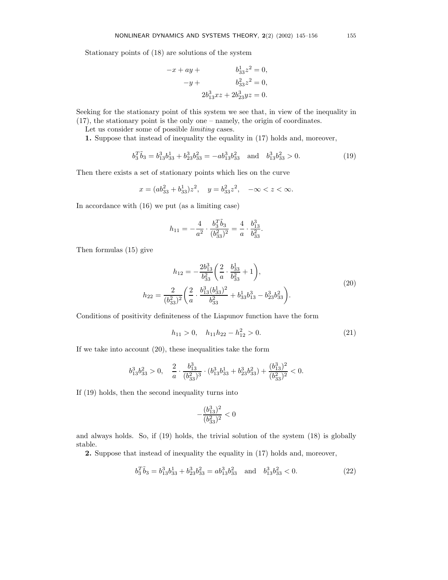Stationary points of (18) are solutions of the system

$$
-x + ay + b_{33}^{1}z^{2} = 0,
$$
  

$$
-y + b_{33}^{2}z^{2} = 0,
$$
  

$$
2b_{13}^{3}xz + 2b_{23}^{3}yz = 0.
$$

Seeking for the stationary point of this system we see that, in view of the inequality in (17), the stationary point is the only one – namely, the origin of coordinates.

Let us consider some of possible *limiting* cases.

1. Suppose that instead of inequality the equality in (17) holds and, moreover,

$$
b_3^T \tilde{b}_3 = b_{13}^3 b_{33}^1 + b_{23}^3 b_{33}^2 = -a b_{13}^3 b_{33}^2 \quad \text{and} \quad b_{13}^3 b_{33}^2 > 0. \tag{19}
$$

Then there exists a set of stationary points which lies on the curve

$$
x = (ab_{33}^2 + b_{33}^1)z^2
$$
,  $y = b_{33}^2z^2$ ,  $-\infty < z < \infty$ .

In accordance with (16) we put (as a limiting case)

$$
h_{11}=-\frac{4}{a^2}\cdot\frac{b_3^T\tilde{b}_3}{(b_{33}^2)^2}=\frac{4}{a}\cdot\frac{b_{13}^3}{b_{33}^2}.
$$

Then formulas (15) give

$$
h_{12} = -\frac{2b_{13}^3}{b_{33}^2} \left(\frac{2}{a} \cdot \frac{b_{33}^3}{b_{33}^2} + 1\right),
$$
  
\n
$$
h_{22} = \frac{2}{(b_{33}^2)^2} \left(\frac{2}{a} \cdot \frac{b_{13}^3 (b_{33}^1)^2}{b_{33}^2} + b_{33}^1 b_{13}^3 - b_{23}^3 b_{33}^2\right).
$$
\n(20)

Conditions of positivity definiteness of the Liapunov function have the form

$$
h_{11} > 0, \quad h_{11}h_{22} - h_{12}^2 > 0. \tag{21}
$$

If we take into account (20), these inequalities take the form

$$
b_{13}^3b_{33}^2>0,\quad \frac{2}{a}\cdot\frac{b_{13}^3}{(b_{33}^2)^3}\cdot (b_{13}^3b_{33}^1+b_{23}^3b_{33}^2)+\frac{(b_{13}^3)^2}{(b_{33}^2)^2}<0.
$$

If (19) holds, then the second inequality turns into

$$
-\frac{(b_{13}^3)^2}{(b_{33}^2)^2}<0
$$

and always holds. So, if (19) holds, the trivial solution of the system (18) is globally stable.

2. Suppose that instead of inequality the equality in (17) holds and, moreover,

$$
b_3^T \tilde{b}_3 = b_{13}^3 b_{33}^1 + b_{23}^3 b_{33}^2 = a b_{13}^3 b_{33}^2 \quad \text{and} \quad b_{13}^3 b_{33}^2 < 0. \tag{22}
$$